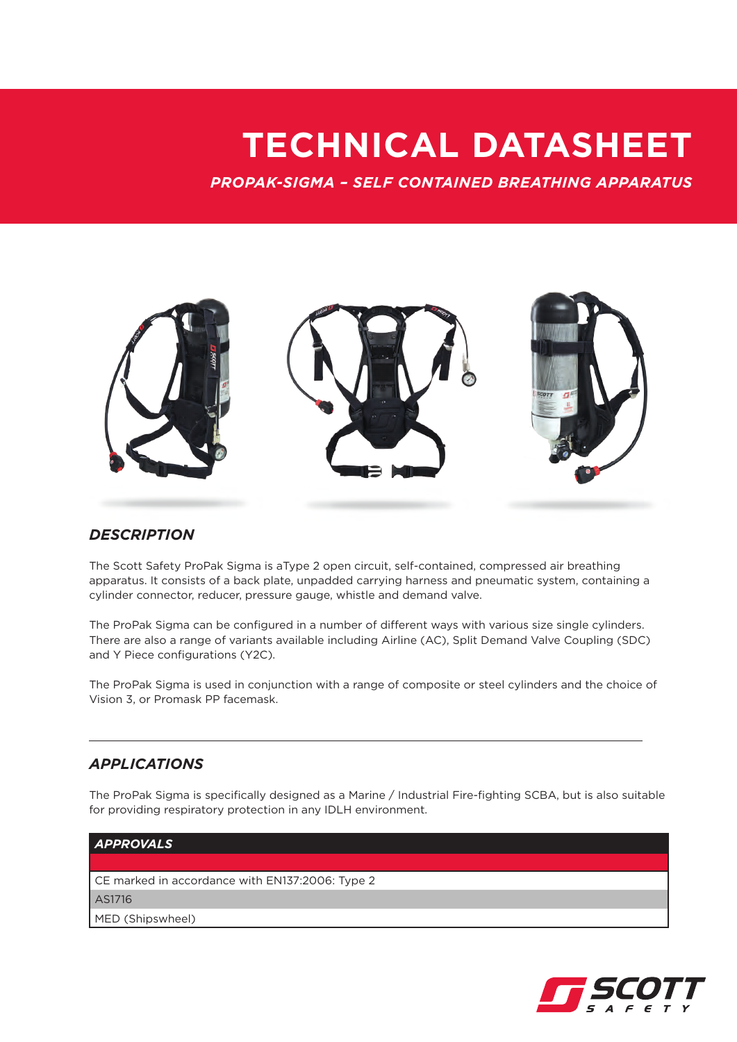## **TECHNICAL DATASHEET**

*PROPAK-SIGMA – SELF CONTAINED BREATHING APPARATUS*



## *DESCRIPTION*

The Scott Safety ProPak Sigma is aType 2 open circuit, self-contained, compressed air breathing apparatus. It consists of a back plate, unpadded carrying harness and pneumatic system, containing a cylinder connector, reducer, pressure gauge, whistle and demand valve.

The ProPak Sigma can be configured in a number of different ways with various size single cylinders. There are also a range of variants available including Airline (AC), Split Demand Valve Coupling (SDC) and Y Piece configurations (Y2C).

The ProPak Sigma is used in conjunction with a range of composite or steel cylinders and the choice of Vision 3, or Promask PP facemask.

## *APPLICATIONS*

The ProPak Sigma is specifically designed as a Marine / Industrial Fire-fighting SCBA, but is also suitable for providing respiratory protection in any IDLH environment.



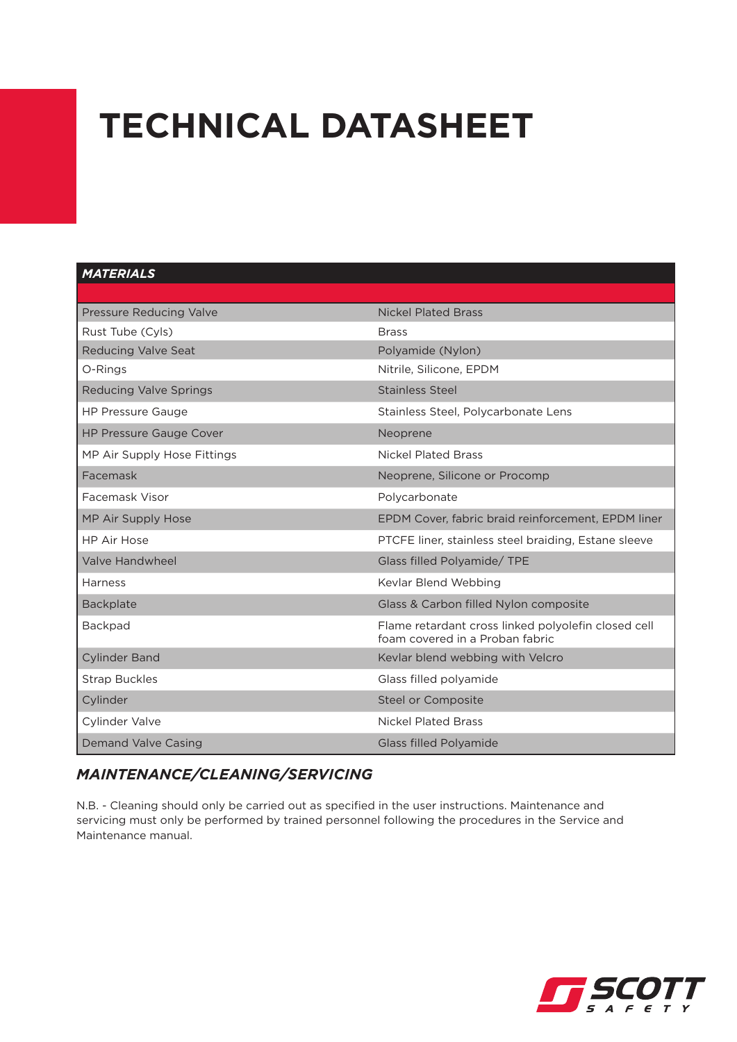# **TECHNICAL DATASHEET**

### *MATERIALS*

| Pressure Reducing Valve        | <b>Nickel Plated Brass</b>                                                             |
|--------------------------------|----------------------------------------------------------------------------------------|
| Rust Tube (Cyls)               | <b>Brass</b>                                                                           |
| <b>Reducing Valve Seat</b>     | Polyamide (Nylon)                                                                      |
| O-Rings                        | Nitrile, Silicone, EPDM                                                                |
| <b>Reducing Valve Springs</b>  | Stainless Steel                                                                        |
| <b>HP Pressure Gauge</b>       | Stainless Steel, Polycarbonate Lens                                                    |
| <b>HP Pressure Gauge Cover</b> | Neoprene                                                                               |
| MP Air Supply Hose Fittings    | <b>Nickel Plated Brass</b>                                                             |
| Facemask                       | Neoprene, Silicone or Procomp                                                          |
| Facemask Visor                 | Polycarbonate                                                                          |
| MP Air Supply Hose             | EPDM Cover, fabric braid reinforcement, EPDM liner                                     |
| <b>HP Air Hose</b>             | PTCFE liner, stainless steel braiding, Estane sleeve                                   |
| Valve Handwheel                | Glass filled Polyamide/ TPE                                                            |
| Harness                        | Kevlar Blend Webbing                                                                   |
| <b>Backplate</b>               | Glass & Carbon filled Nylon composite                                                  |
| <b>Backpad</b>                 | Flame retardant cross linked polyolefin closed cell<br>foam covered in a Proban fabric |
| <b>Cylinder Band</b>           | Kevlar blend webbing with Velcro                                                       |
| <b>Strap Buckles</b>           | Glass filled polyamide                                                                 |
| Cylinder                       | Steel or Composite                                                                     |
| Cylinder Valve                 | <b>Nickel Plated Brass</b>                                                             |
| <b>Demand Valve Casing</b>     | <b>Glass filled Polyamide</b>                                                          |

## *MAINTENANCE/CLEANING/SERVICING*

N.B. - Cleaning should only be carried out as specified in the user instructions. Maintenance and servicing must only be performed by trained personnel following the procedures in the Service and Maintenance manual.